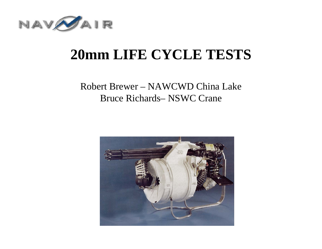

### **20mm LIFE CYCLE TESTS**

#### Robert Brewer – NAWCWD China Lake Bruce Richards– NSWC Crane

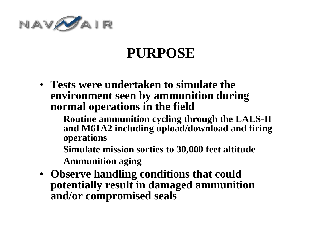

### **PURPOSE**

- **Tests were undertaken to simulate the environment seen by ammunition during normal operations in the field**
	- **Routine ammunition cycling through the LALS-II and M61A2 including upload/download and firing operations**
	- **Simulate mission sorties to 30,000 feet altitude**
	- **Ammunition aging**
- **Observe handling conditions that could potentially result in damaged ammunition and/or compromised seals**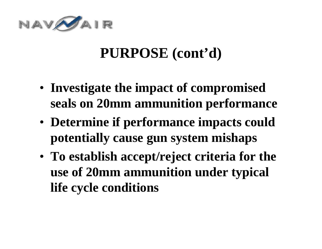

### **PURPOSE (cont'd)**

- **Investigate the impact of compromised seals on 20mm ammunition performance**
- **Determine if performance impacts could potentially cause gun system mishaps**
- **To establish accept/reject criteria for the use of 20mm ammunition under typical life cycle conditions**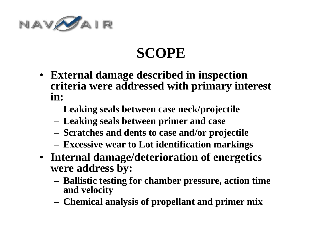

# **SCOPE**

- **External damage described in inspection criteria were addressed with primary interest in:**
	- **Leaking seals between case neck/projectile**
	- **Leaking seals between primer and case**
	- **Scratches and dents to case and/or projectile**
	- **Excessive wear to Lot identification markings**
- **Internal damage/deterioration of energetics were address by:**
	- **Ballistic testing for chamber pressure, action time and velocity**
	- **Chemical analysis of propellant and primer mix**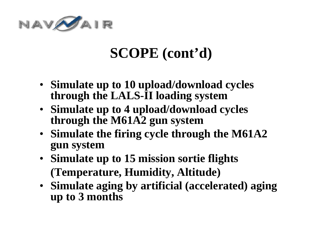

### **SCOPE (cont'd)**

- **Simulate up to 10 upload/download cycles through the LALS-II loading system**
- **Simulate up to 4 upload/download cycles through the M61A2 gun system**
- **Simulate the firing cycle through the M61A2 gun system**
- **Simulate up to 15 mission sortie flights (Temperature, Humidity, Altitude)**
- **Simulate aging by artificial (accelerated) aging up to 3 months**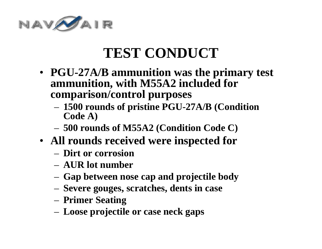

# **TEST CONDUCT**

- **PGU-27A/B ammunition was the primary test ammunition, with M55A2 included for comparison/control purposes**
	- **1500 rounds of pristine PGU-27A/B (Condition Code A)**
	- **500 rounds of M55A2 (Condition Code C)**
- **All rounds received were inspected for**
	- **Dirt or corrosion**
	- **AUR lot number**
	- **Gap between nose cap and projectile body**
	- **Severe gouges, scratches, dents in case**
	- **Primer Seating**
	- **Loose projectile or case neck gaps**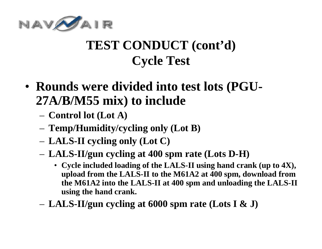

### **TEST CONDUCT (cont'd) Cycle Test**

- **Rounds were divided into test lots (PGU-27A/B/M55 mix) to include**
	- **Control lot (Lot A)**
	- **Temp/Humidity/cycling only (Lot B)**
	- **LALS-II cycling only (Lot C)**
	- **LALS-II/gun cycling at 400 spm rate (Lots D-H)**
		- **Cycle included loading of the LALS-II using hand crank (up to 4X), upload from the LALS-II to the M61A2 at 400 spm, download from the M61A2 into the LALS-II at 400 spm and unloading the LALS-II using the hand crank.**
	- **LALS-II/gun cycling at 6000 spm rate (Lots I & J)**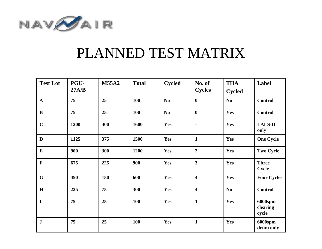

#### PLANNED TEST MATRIX

| <b>Test Lot</b> | PGU-<br>27A/B | <b>M55A2</b> | <b>Total</b> | <b>Cycled</b> | No. of<br><b>Cycles</b> | <b>THA</b><br><b>Cycled</b> | Label                        |
|-----------------|---------------|--------------|--------------|---------------|-------------------------|-----------------------------|------------------------------|
| $\mathbf{A}$    | 75            | 25           | 100          | $\bf No$      | $\mathbf 0$             | No                          | <b>Control</b>               |
| $\bf{B}$        | 75            | 25           | 100          | No            | $\bf{0}$                | Yes                         | <b>Control</b>               |
| $\mathbf C$     | 1200          | 400          | 1600         | Yes           | $\blacksquare$          | Yes                         | <b>LALS-II</b><br>only       |
| $\mathbf{D}$    | 1125          | 375          | 1500         | Yes           | $\mathbf{1}$            | Yes                         | <b>One Cycle</b>             |
| ${\bf E}$       | 900           | 300          | 1200         | Yes           | $\overline{2}$          | Yes                         | <b>Two Cycle</b>             |
| $\mathbf F$     | 675           | 225          | 900          | Yes           | $\overline{\mathbf{3}}$ | Yes                         | <b>Three</b><br><b>Cycle</b> |
| $\mathbf G$     | 450           | 150          | 600          | Yes           | $\overline{\mathbf{4}}$ | Yes                         | <b>Four Cycles</b>           |
| $\mathbf H$     | 225           | 75           | 300          | Yes           | $\overline{\mathbf{4}}$ | N <sub>0</sub>              | <b>Control</b>               |
| $\mathbf I$     | 75            | 25           | 100          | Yes           | $\mathbf{1}$            | Yes                         | 6000spm<br>clearing<br>cycle |
| ${\bf J}$       | 75            | 25           | 100          | Yes           | $\mathbf{1}$            | Yes                         | 6000spm<br>drum only         |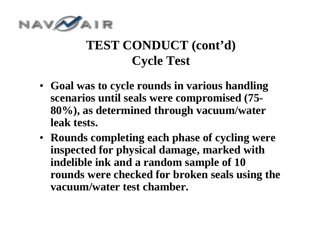

#### **TEST CONDUCT (cont'd) Cycle Test**

- **Goal was to cycle rounds in various handling scenarios until seals were compromised (75- 80%), as determined through vacuum/water leak tests.**
- **Rounds completing each phase of cycling were inspected for physical damage, marked with indelible ink and a random sample of 10 rounds were checked for broken seals using the vacuum/water test chamber.**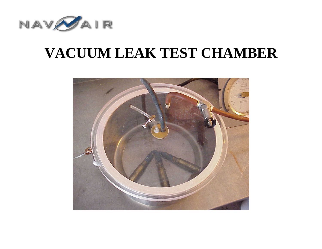

### **VACUUM LEAK TEST CHAMBER**

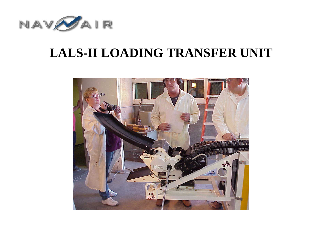

#### **LALS-II LOADING TRANSFER UNIT**

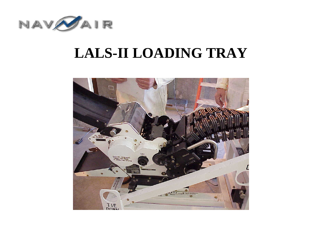

### **LALS-II LOADING TRAY**

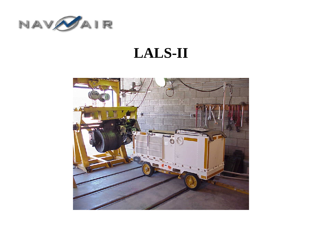

### **LALS-II**

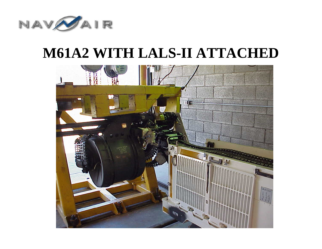

### **M61A2 WITH LALS-II ATTACHED**

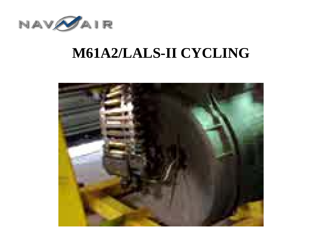

### **M61A2/LALS-II CYCLING**

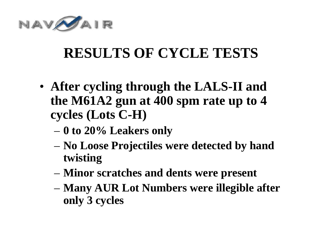

# **RESULTS OF CYCLE TESTS**

- **After cycling through the LALS-II and the M61A2 gun at 400 spm rate up to 4 cycles (Lots C-H)**
	- **0 to 20% Leakers only**
	- **No Loose Projectiles were detected by hand twisting**
	- **Minor scratches and dents were present**
	- **Many AUR Lot Numbers were illegible after only 3 cycles**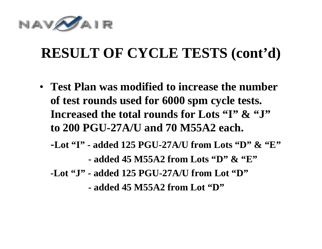

# **RESULT OF CYCLE TESTS (cont'd)**

- **Test Plan was modified to increase the number of test rounds used for 6000 spm cycle tests. Increased the total rounds for Lots "I" & "J" to 200 PGU-27A/U and 70 M55A2 each.**
	- **-Lot "I" - added 125 PGU-27A/U from Lots "D" & "E"**

**- added 45 M55A2 from Lots "D" & "E"**

**-Lot "J" - added 125 PGU-27A/U from Lot "D"**

**- added 45 M55A2 from Lot "D"**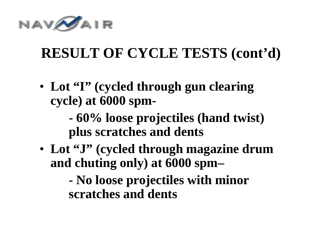

# **RESULT OF CYCLE TESTS (cont'd)**

• **Lot "I" (cycled through gun clearing cycle) at 6000 spm-**

> **- 60% loose projectiles (hand twist) plus scratches and dents**

• **Lot "J" (cycled through magazine drum and chuting only) at 6000 spm–**

> **- No loose projectiles with minor scratches and dents**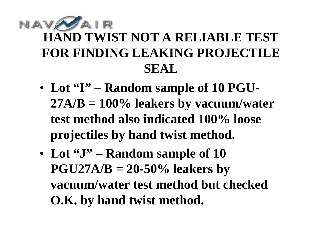### AIR **HAND TWIST NOT A RELIABLE TEST FOR FINDING LEAKING PROJECTILE SEAL**

- **Lot "I" – Random sample of 10 PGU-27A/B = 100% leakers by vacuum/water test method also indicated 100% loose projectiles by hand twist method.**
- **Lot "J" – Random sample of 10 PGU27A/B = 20-50% leakers by vacuum/water test method but checked O.K. by hand twist method.**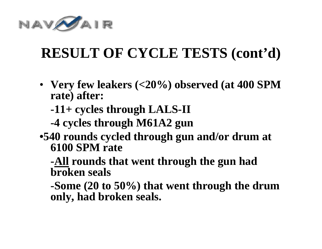

# **RESULT OF CYCLE TESTS (cont'd)**

- **Very few leakers (<20%) observed (at 400 SPM rate) after:**
	- **-11+ cycles through LALS-II**
	- **-4 cycles through M61A2 gun**
- **•540 rounds cycled through gun and/or drum at 6100 SPM rate**

**-All rounds that went through the gun had broken seals**

**-Some (20 to 50%) that went through the drum only, had broken seals.**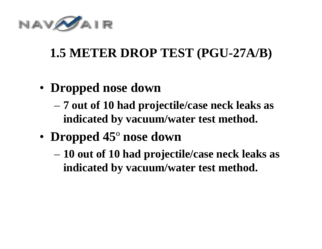

### **1.5 METER DROP TEST (PGU-27A/B)**

- **Dropped nose down**
	- **7 out of 10 had projectile/case neck leaks as indicated by vacuum/water test method.**
- **Dropped 45** º **nose down**
	- **10 out of 10 had projectile/case neck leaks as indicated by vacuum/water test method.**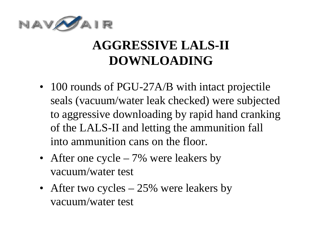

### **AGGRESSIVE LALS-II DOWNLOADING**

- 100 rounds of PGU-27A/B with intact projectile seals (vacuum/water leak checked) were subjected to aggressive downloading by rapid hand cranking of the LALS-II and letting the ammunition fall into ammunition cans on the floor.
- After one cycle 7% were leakers by vacuum/water test
- After two cycles 25% were leakers by vacuum/water test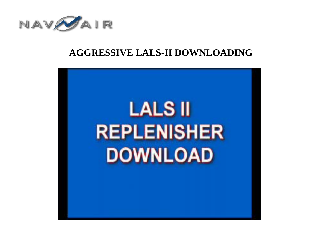

#### **AGGRESSIVE LALS-II DOWNLOADING**

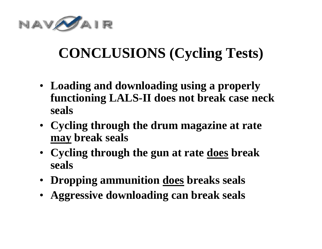

# **CONCLUSIONS (Cycling Tests)**

- **Loading and downloading using a properly functioning LALS-II does not break case neck seals**
- **Cycling through the drum magazine at rate may break seals**
- **Cycling through the gun at rate does break seals**
- **Dropping ammunition does breaks seals**
- **Aggressive downloading can break seals**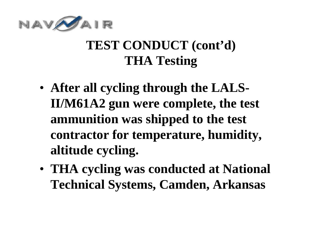

#### **TEST CONDUCT (cont'd) THA Testing**

- **After all cycling through the LALS-II/M61A2 gun were complete, the test ammunition was shipped to the test contractor for temperature, humidity, altitude cycling.**
- **THA cycling was conducted at National Technical Systems, Camden, Arkansas**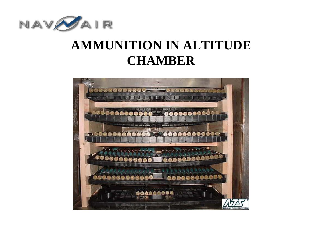

#### **AMMUNITION IN ALTITUDE CHAMBER**

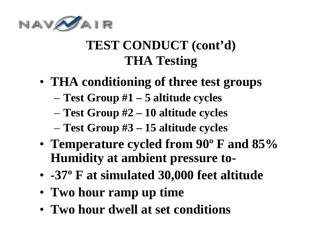

### **TEST CONDUCT (cont'd) THA Testing**

- **THA conditioning of three test groups** 
	- **Test Group #1 – 5 altitude cycles**
	- **Test Group #2 – 10 altitude cycles**
	- **Test Group #3 – 15 altitude cycles**
- **Temperature cycled from 90º F and 85% Humidity at ambient pressure to-**
- **-37º F at simulated 30,000 feet altitude**
- **Two hour ramp up time**
- **Two hour dwell at set conditions**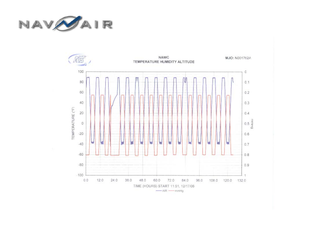

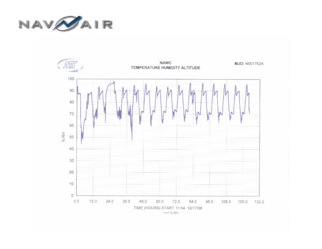

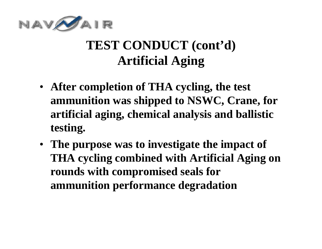

#### **TEST CONDUCT (cont'd) Artificial Aging**

- **After completion of THA cycling, the test ammunition was shipped to NSWC, Crane, for artificial aging, chemical analysis and ballistic testing.**
- **The purpose was to investigate the impact of THA cycling combined with Artificial Aging on rounds with compromised seals for ammunition performance degradation**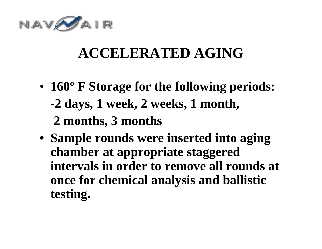

## **ACCELERATED AGING**

- **160º F Storage for the following periods: -2 days, 1 week, 2 weeks, 1 month, 2 months, 3 months**
- **• Sample rounds were inserted into aging chamber at appropriate staggered intervals in order to remove all rounds at once for chemical analysis and ballistic testing.**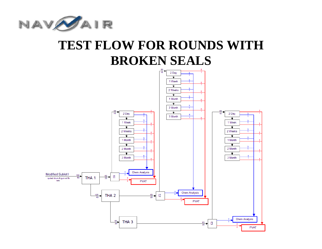

#### **TEST FLOW FOR ROUNDS WITH BROKEN SEALS**

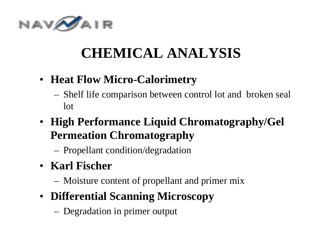

# **CHEMICAL ANALYSIS**

- **Heat Flow Micro-Calorimetry**
	- Shelf life comparison between control lot and broken seal lot
- **High Performance Liquid Chromatography/Gel Permeation Chromatography**
	- Propellant condition/degradation
- **Karl Fischer**
	- Moisture content of propellant and primer mix
- **Differential Scanning Microscopy**
	- Degradation in primer output